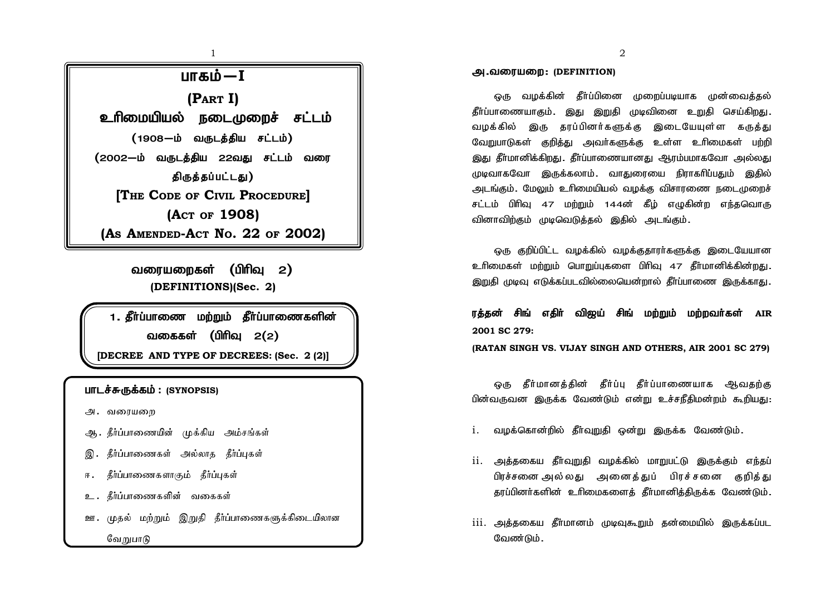

வரையறைகள் (பிரிவு  $2$ ) **(DEFINITIONS)(Sec. 2)**

1. தீர்ப்பாணை மற்றும் தீர்ப்பாணைகளின் வகைகள் (பிரிவ  $2(2)$ **[DECREE AND TYPE OF DECREES: (Sec. 2 (2)]**

#### **பாடச்சுருக்கம் : (SYNOPSIS)**

- அ. வரையறை
- ஆ. தீர்ப்பாணையின் முக்கிய அம்சங்கள்
- இ. கீர்ப்பாணைகள் அல்லாக கீர்ப்பகள்
- ா. தீர்ப்பாணைகளாகும் தீர்ப்புகள்
- உ. கீர்ப்பாணைகளின் வகைகள்
- ஊ. முதல் மற்றும் இறுதி தீர்ப்பாணைகளுக்கிடையிலான வேறுபாடு

#### **அ.வரையறை: (DEFINITION)**

ஒரு வழக்கின் தீர்ப்பினை முறைப்படியாக முன்வைத்தல் தீர்ப்பாணையாகும். இது இறுதி முடிவினை உறுதி செய்கி<u>றது</u>. வழக்கில் இரு கரப்பினர்களுக்கு இடையேயுள்ள கருக்து வேறுபாடுகள் குறித்து அவர்களுக்கு உள்ள உரிமைகள் பற்றி இது தீர்மானிக்கிறது. தீர்ப்பாணையானது ஆரம்பமாகவோ அல்லது முடிவாகவோ இருக்கலாம். வாகுரையை நிராகரிப்பதும் இகில் அடங்கும். மேலும் உரிமையியல் வழக்கு விசாரணை நடைமுறைச் சட்டம் பிரிவு 47 மற்றும் 144ன் கீம் எழுகின்ற எந்தவொரு வினாவிற்கும் முடிவெடுத்தல் இதில் அடங்கும்.

ஒரு குறிப்பிட்ட வமக்கில் வமக்ககாார்களுக்கு இடையேயான உரிமைகள் மற்றும் பொறுப்புகளை பிரிவு 47 தீர்மானிக்கின்றது. இறுதி முடிவு எடுக்கப்படவில்லையென்றால் தீா்ப்பாணை இருக்காது.

ரக்கன் சிங் எகிர் விஜய் சிங் மற்றும் மற்றவர்கள் AIR **2001 SC 279:**

**(RATAN SINGH VS. VIJAY SINGH AND OTHERS, AIR 2001 SC 279)**

ஒரு கீர்மானக்கின் கீர்ப்பு கீர்ப்பாணையாக ஆவகற்கு பின்வருவன இருக்க வேண்டும் என்று உச்சநீதிமன்றம் கூறியது:

- <u>i. வழக்கொன்றில் தீர்வுறுதி ஒன்று இருக்க வேண்டும்.</u>
- $ii$ . அக்ககைய கீர்வுறுகி வழக்கில் மாறுபட்டு இருக்கும் எந்தப் பிரச்சனை அல்லது அனைக்துப் பிரச்சனை குறிக்து தூப்பினர்களின் உரிமைகளைக் தீர்மானிக்கிருக்க வேண்டும்.
- $\overline{\text{iii}}$ , அக்ககைய கீர்மானம் முழைகூறும் கன்மையில் இருக்கப்பட வேண்டும்.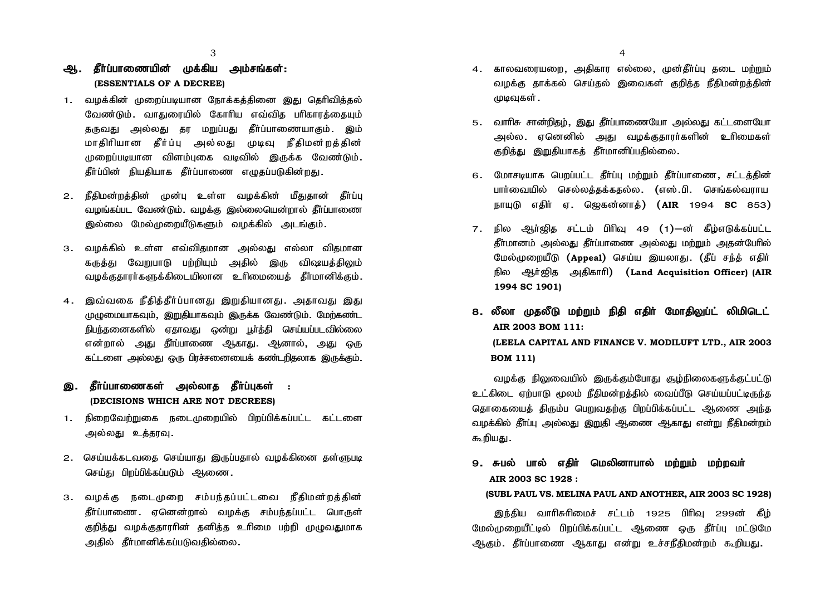## ஆ. தீர்ப்பாணையின் முக்கிய அம்சங்கள்:  **(ESSENTIALS OF A DECREE)**

- 1. வழக்கின் முறைப்படியான நோக்கக்கினை இது தெரிவிக்கல் வேண்டும். வாகுரையில் கோரிய எவ்விக பரிகாாக்கையம் தருவது அல்லது தர மறுப்பது தீர்ப்பாணையாகும். இம் மாகிரியான கீர்ப்பு அல்லது முடிவு நீகிமன்றக்கின் முறைப்படியான விளம்புகை வடிவில் இருக்க வேண்டும். தீர்ப்பின் நியதியாக தீர்ப்பாணை எழுதப்படுகின்றது.
- 2. நீகிமன்றக்கின் முன்ப உள்ள வமக்கின் மீகுகான் கீர்ப்ப வழங்கப்பட வேண்டும். வழக்கு இல்லையென்றால் தீர்ப்பாணை இல்லை மேல்முறையீடுகளும் வழக்கில் அடங்கும்.
- 3. வழக்கில் உள்ள எவ்விகமான அல்லது எல்லா விகமான கருத்து வேறுபாடு பற்றியும் அதில் இரு விஷயத்திலும் வழக்குகாரர்களுக்கிடையிலான உரிமையைக் கீர்மானிக்கும்.
- 4. இவ்வகை நீதித்தீர்ப்பானது இறுதியானது. அதாவது இது முழுமையாகவும், இறுதியாகவும் இருக்க வேண்டும். மேற்கண்ட நிபந்தனைகளில் ஏதாவது ஒன்று பூர்த்தி செய்யப்படவில்லை என்றால் ,அது தீர்ப்பாணை ஆகாது. ஆனால், அது ஒரு ்கட்டளை ,அல்லகு ஒரு பிரச்சனையைக் கண்டரிகலாக இருக்கும்.

### இ. தீர்ப்பாணைகள் அல்லாத தீர்ப்புகள் :  **(DECISIONS WHICH ARE NOT DECREES)**

- 1. நிறைவேற்றுதை நடைமுறையில் பிறப்பிக்கப்பட்ட கட்டளை அல்லது உத்தரவு.
- 2. செய்யக்கடவதை செய்யாது இருப்பதால் வழக்கினை தள்ளுபடி செய்து பிறப்பிக்கப்படும் ஆணை.
- 3. வழக்கு நடைமுறை சம்பந்தப்பட்டவை நீதிமன்றத்தின் கீர்ப்பாணை . ஏனென்றால் வழக்கு சம்பந்தப்பட்ட பொருள் குறித்து வழக்குதாரரின் தனித்த உரிமை பற்றி முழுவதுமாக அகில் கீர்மானிக்கப்படுவகில்லை.
- 4. காலவரையறை, அகிகாா எல்லை, முன்கீர்ப்ப கடை மர்மும் வழக்கு தாக்கல் செய்தல் இவைகள் குறித்த நீதிமன்றத்தின் முடிவுகள் .
- 5. வாரிசு சான்றிதழ், இது தீர்ப்பாணையோ அல்லது கட்டளையோ அல்ல. ஏனெனில் அது வழக்குதாரர்களின் உரிமைகள் குறித்து இறுதியாகத் தீர்மானிப்பதில்லை.
- 6. மோசடியாக பெறப்பட்ட தீர்ப்பு மற்றும் தீர்ப்பாணை, சட்டத்தின் பார்வையில் செல்லக்கக்ககல்ல. (எஸ்.பி. செங்கல்வாாய ehAL vjph ; V. n[fd;dhj ;) (**AIR** 1994 **SC** 853)
- $7.$  நில ஆர்ஜித சட்டம் பிரிவு 49 (1)—ன் கீழ்எடுக்கப்பட்ட கீர்மானம் அல்லகு கீர்ப்பாணை அல்லகு மற்றும் அகன்பேரில் மேல்முறையீடு (Appeal) செய்ய இயலாது. (தீப் சந்த் எதிர் நில அர்ஜிக அகிகாரி) (Land Acquisition Officer) (AIR **1994 SC 1901)**
- 8. லீலா முகலீடு மற்றும் நிதி எகிர் மோகிலுப்ட் லிமிடெட்  **AIR 2003 BOM 111: (LEELA CAPITAL AND FINANCE V. MODILUFT LTD., AIR 2003 BOM 111)**

வழக்கு நிலுவையில் இருக்கும்போது சூழ்நிலைகளுக்குட்பட்டு உட்கிடை ஏற்பாடு மூலம் நீதிமன்றக்தில் வைப்பீடு செய்யப்பட்டிருந்த தொகையைத் திரும்ப பெறுவகற்கு பிறப்பிக்கப்பட்ட ஆணை அந்த வமக்கில் கீர்ப்ப அல்லகு இறுகி ஆணை ஆகாகு என்று நீகிமன்றம் கூறியது.

9. சுபல் பால் எகிர் மெலினாபால் மர்றும் மர்றவர்  **AIR 2003 SC 1928 :**

#### **(SUBL PAUL VS. MELINA PAUL AND ANOTHER, AIR 2003 SC 1928)**

இந்திய வாரிசுரிமைச் சட்டம் 1925 பிரிவ 299ன் தீம் மேல்முறையீட்டில் பிறப்பிக்கப்பட்ட ஆணை ஒரு கீர்ப்ப மட்டுமே ஆகும். தீர்ப்பாணை ஆகாது என்று உச்சநீதிமன்றம் கூறியது.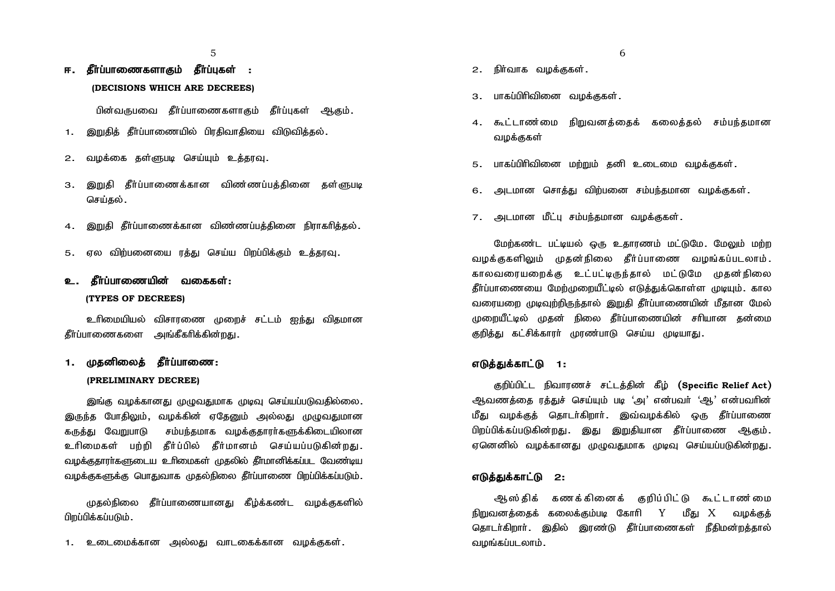$5<sup>5</sup>$ 

# ஈ. கீர்ப்பாணைகளாகும் கீர்ப்பகள் :  **(DECISIONS WHICH ARE DECREES)**

பின்வருபவை தீர்ப்பாணைகளாகும் தீர்ப்புகள் ஆகும்.

- 1. இறுகிக் கீர்ப்பாணையில் பிாகிவாகியை விடுவிக்கல்.
- 2. வழக்கை தள்ளுபடி செய்யும் உத்தரவு.
- 3. இறுதி தீர்ப்பாணைக்கான விண்ணப்பத்தினை தள்ளுபடி செய்கல்.
- 4. இறுதி தீர்ப்பாணைக்கான விண்ணப்பக்கினை நிராகரிக்கல்.
- 5. ஏல விற்பனையை ரத்து செய்ய பிறப்பிக்கும் உத்தரவு.

## உ. தீா்ப்பாணையின் வகைகள்: **(TYPES OF DECREES)**

உரிமையியல் விசாரணை முறைச் சட்டம் ஐந்து விதமான தீர்ப்பாணைகளை அங்கீகரிக்கின்றது.

## 1. முகனிலைக் கீர்ப்பாணை: **(PRELIMINARY DECREE)**

இங்கு வழக்கானது முழுவதுமாக முடிவு செய்யப்படுவதில்லை. இருந்த போதிலும், வழக்கின் ஏதேனும் அல்லது முழுவதுமான கருத்து வேறுபாடு சம்பந்தமாக வழக்குதாரர்களுக்கிடையிலான உரிமைகள் பற்றி தீர்ப்பில் தீர்மானம் செய்யப்படுகின்றது. வழக்குதாரா்களுடைய உாிமைகள் முதலில் தீா்மானிக்கப்பட வேண்டிய வழக்குகளுக்கு பொதுவாக முதல்நிலை தீர்ப்பாணை பிறப்பிக்கப்படும்.

முகல்நிலை கீர்ப்பாணையானகு கீம்க்கண்ட வமக்குகளில் பி**றப்பிக்கப்படும்.** 

1. உடைமைக்கான அல்லது வாடகைக்கான வழக்குகள்.

- 
- 2. நிர்வாக வழக்குகள்.
- 3. பாகப்பிரிவினை வமக்ககள்.
- 4. கூட்டாண்மை நிறுவனக்கைக் கலைக்கல் சம்பந்கமான வமக்குகள்
- 5. பாகப்பிரிவினை மற்றும் தனி உடைமை வழக்குகள்.
- 6. அடமான சொக்து விற்பனை சம்பந்தமான வமக்குகள்.
- 7. அடமான மீட்பு சம்பந்தமான வமக்குகள்.

மேற்கண்ட பட்டியல் ஒரு உதாரணம் மட்டுமே. மேலும் மற்ற வழக்குகளிலும் முதன்நிலை தீர்ப்பாணை வழங்கப்படலாம். காலவரையறைக்கு உட்பட்டிருந்தால் மட்டுமே முதன்நிலை தீர்ப்பாணையை மேற்முறையீட்டில் எடுத்துக்கொள்ள முடியும். கால வரையறை முடிவற்றிருந்தால் இறுதி கீர்ப்பாணையின் மீகான மேல் முறையீட்டில் முகன் நிலை கீர்ப்பாணையின் சரியான கன்மை குறிக்கு கட்சிக்காார் மாண்பாடு செய்ய முடியாகு.

#### எடுக்குக்காட்டு 1:

Fwpg;gpl;l epthuzr; rl;lj;jpd; fPo; (**Specific Relief Act**) ஆவணத்தை ரத்துச் செய்யும் படி 'அ' என்பவர் 'ஆ' என்பவரின் மீது வழக்குத் தொடர்கிறார். இவ்வழக்கில் ஒரு தீர்ப்பாணை பிறப்பிக்கப்படுகின்றது. இது இறுகியான கீர்ப்பாணை ஆகும். ஏனெனில் வழக்கானது முமுவதுமாக முடிவு செய்யப்படுகின்றது.

#### எடுக்குக்காட்டு 2:

ஆஸ்திக் கணக்கினைக் குறிப்பிட்டு கூட்டாண ்மை நிறுவனத்தைக் கலைக்கும்படி கோரி  $Y$  மீது  $X$  வழக்குத் தொடர்கிறார். இதில் இரண்டு தீர்ப்பாணைகள் நீதிமன்றக்கால் வழங்கப்படலாம்.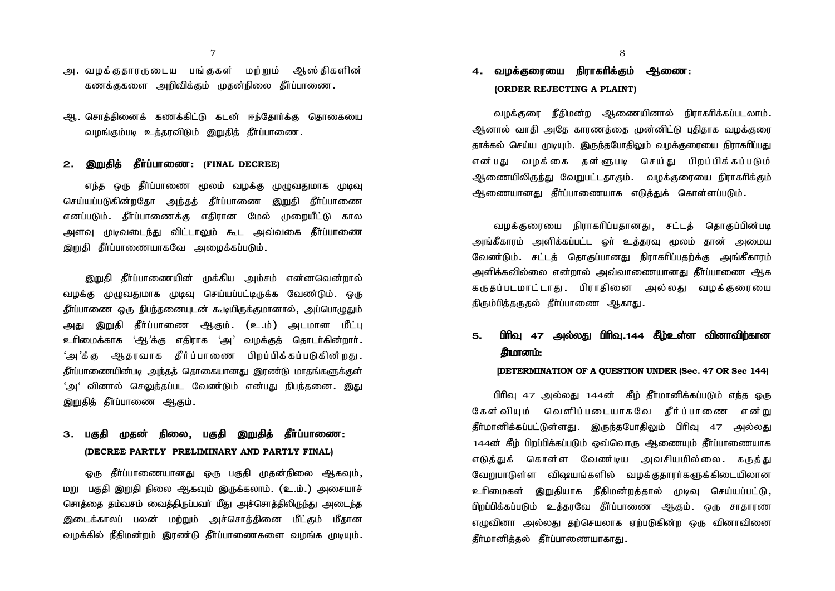$7 \overline{\phantom{a}}$ 

- அ. வமக்குகாரருடைய பங்குகள் மற்றும் ஆஸ்கிகளின் கணக்குகளை அறிவிக்கும் முதன்நிலை தீர்ப்பாணை.
- ஆ. சொக்கினைக் கணக்கிட்டு கடன் ஈந்கோர்க்கு கொகையை வழங்கும்படி உக்காவிடும் இறுகிக் கீர்ப்பாணை.

#### **2. இறுதிக் கீர்ப்பாணை: (FINAL DECREE)**

எந்த ஒரு தீர்ப்பாணை மூலம் வழக்கு முழுவதுமாக முடிவு செய்யப்படுகின்றதோ அந்தத் தீர்ப்பாணை இறுதி தீர்ப்பாணை எனப்படும். தீர்ப்பாணைக்கு எதிரான மேல் முறையீட்டு கால அளவு முடிவடை<u>ந்து</u> விட்டாலும் கூட அவ்வகை தீா்ப்பாணை இறுதி தீர்ப்பாணையாகவே அமைக்கப்படும்.

இறுதி தீர்ப்பாணையின் முக்கிய அம்சம் என்னவென்றால் வமக்கு முமுவகுமாக முடிவ செய்யப்பட்டிருக்க வேண்டும். ஒரு தீர்ப்பாணை ஒரு நிபந்தனையுடன் கூடியிருக்குமானால், அப்பொழுதும் அது இறுதி தீர்ப்பாணை ஆகும். (உ.ம்) அடமான மீட்பு உரிமைக்காக 'ஆ'க்கு எகிராக 'அ' வமக்குக் கொடர்கின்றார்**.** 'அ'க்க அகாவாக கீர்ப்பாணை பிறப்பிக்கப்படுகின்றகு. தீர்ப்பாணையின்படி அந்தத் தொகையானது இரண்டு மாதங்களுக்குள் 'அ' வினால் செலுத்தப்பட வேண்டும் என்பது நிபந்தனை. <u>இத</u>ு இறுதித் தீா்ப்பாணை ஆகும்.

## 3. பகுதி முதன் நிலை, பகுதி இறுதித் தீர்ப்பாணை: **(DECREE PARTLY PRELIMINARY AND PARTLY FINAL)**

ஒரு தீர்ப்பாணையானது ஒரு பகுதி முதன்நிலை ஆகவும் மறு பகுதி இறுதி நிலை ஆகவும் இருக்கலாம். (உ.ம்.) அசையாச் சொக்கை தம்வசம் வைக்கிருப்பவா் மீது அச்சொக்கிலிருந்து அடைந்த இடைக்காலப் பலன் மற்றும் அச்சொத்தினை மீட்கும் மீதான வழக்கில் நீதிமன்றம் இரண்டு தீர்ப்பாணைகளை வழங்க முடியும்.

# 4. வமக்கரையை நிராகரிக்கும் ஆணை:  **(ORDER REJECTING A PLAINT)**

்வழக்குரை நீதிமன்ற ஆணையினால் நிராகரிக்கப்படலாம். ஆனால் வாகி அதே காரணத்தை முன்னிட்டு புதிதாக வழக்குரை தாக்கல் செய்ய முடியும். இருந்தபோதிலும் வழக்குரையை நிராகாிப்பது என்பது வமக்கை கள்ளுபடி செய்து பிறப்பிக்கப்படும் ஆணையிலிருந்து வேறுபட்டதாகும். வழக்குரையை நிராகரிக்கும் ஆணையானது தீர்ப்பாணையாக எடுக்குக் கொள்ளப்படும்.

்வமக்குரையை நிராகரிப்புகானகு, சட்டக் கொகுப்பின்படி அங்கீகாரம் அளிக்கப்பட்ட ஓர் உக்காவ மூலம் கான் அமைய வேண்டும். சட்டத் தொகுப்பானது நிராகரிப்பதற்க்கு அங்கீகாரம் .அளிக்கவில்லை என்றால் .அவ்வாணையானகு கீர்ப்பாணை <u>அ</u>க கருதப்படமாட்டாது. பிராதினை அல்லது வழக்குரையை திரும்பிக்கருகல் தீர்ப்பாணை ஆகாது.

# 5. பிரிவ 47 அல்லது பிரிவ.144 கீம்உள்ள வினாவிர்கான சுமானம்:

#### **[DETERMINATION OF A QUESTION UNDER (Sec. 47 OR Sec 144)**

பிரிவு 47 அல்லது 144ன் கீழ் தீர்மானிக்கப்படும் எந்த ஒரு கேள்வியும் வெளிப்படையாகவே கீர்ப்பாணை என்று தீர்மானிக்கப்பட்டுள்ளது. இருந்தபோதிலும் பிரிவு 47 அல்லது 144ன் கீழ் பிறப்பிக்கப்படும் ஒவ்வொரு ஆணையும் தீர்ப்பாணையாக எடுக்குக் கொள்ள வேண்டிய அவசியமில்லை. கருக்கு வேறுபாடுள்ள விஷயங்களில் வழக்குகாரர்களுக்கிடையிலான உரிமைகள் இறுகியாக நீகிமன்றக்கால் முடிவ செய்யப்பட்டு. <u>பிறப்பிக்கப்படும் உத்த</u>ரவே தீர்ப்பாணை ஆகும். ஒரு சாதாரண எமுவினா அல்லகு கற்செயலாக எற்படுகின்ற ஒரு வினாவினை கீர்மானிக்கல் கீர்ப்பாணையாகாகு.